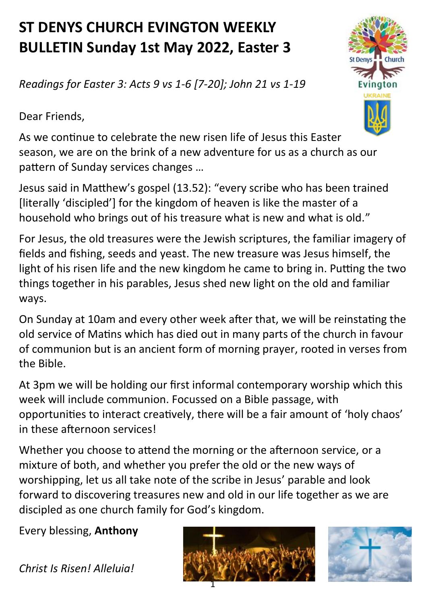## **ST DENYS CHURCH EVINGTON WEEKLY BULLETIN Sunday 1st May 2022, Easter 3**

*Readings for Easter 3: Acts 9 vs 1-6 [7-20]; John 21 vs 1-19*

Dear Friends,



As we continue to celebrate the new risen life of Jesus this Easter season, we are on the brink of a new adventure for us as a church as our pattern of Sunday services changes …

Jesus said in Matthew's gospel (13.52): "every scribe who has been trained [literally 'discipled'] for the kingdom of heaven is like the master of a household who brings out of his treasure what is new and what is old."

For Jesus, the old treasures were the Jewish scriptures, the familiar imagery of fields and fishing, seeds and yeast. The new treasure was Jesus himself, the light of his risen life and the new kingdom he came to bring in. Putting the two things together in his parables, Jesus shed new light on the old and familiar ways.

On Sunday at 10am and every other week after that, we will be reinstating the old service of Matins which has died out in many parts of the church in favour of communion but is an ancient form of morning prayer, rooted in verses from the Bible.

At 3pm we will be holding our first informal contemporary worship which this week will include communion. Focussed on a Bible passage, with opportunities to interact creatively, there will be a fair amount of 'holy chaos' in these afternoon services!

Whether you choose to attend the morning or the afternoon service, or a mixture of both, and whether you prefer the old or the new ways of worshipping, let us all take note of the scribe in Jesus' parable and look forward to discovering treasures new and old in our life together as we are discipled as one church family for God's kingdom.

Every blessing, **Anthony**

*Christ Is Risen! Alleluia!*



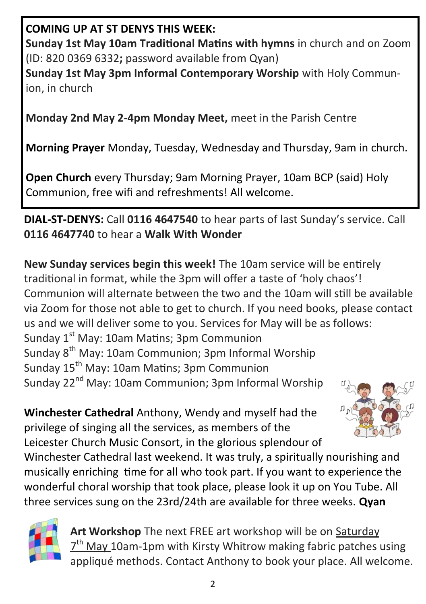## **COMING UP AT ST DENYS THIS WEEK:**

**Sunday 1st May 10am Traditional Matins with hymns** in church and on Zoom (ID: 820 0369 6332**;** password available from Qyan)

**Sunday 1st May 3pm Informal Contemporary Worship** with Holy Communion, in church

**Monday 2nd May 2-4pm Monday Meet,** meet in the Parish Centre

**Morning Prayer** Monday, Tuesday, Wednesday and Thursday, 9am in church.

**Open Church** every Thursday; 9am Morning Prayer, 10am BCP (said) Holy Communion, free wifi and refreshments! All welcome.

## **DIAL-ST-DENYS:** Call **0116 4647540** to hear parts of last Sunday's service. Call **0116 4647740** to hear a **Walk With Wonder**

**New Sunday services begin this week!** The 10am service will be entirely traditional in format, while the 3pm will offer a taste of 'holy chaos'! Communion will alternate between the two and the 10am will still be available via Zoom for those not able to get to church. If you need books, please contact us and we will deliver some to you. Services for May will be as follows:

Sunday  $1<sup>st</sup>$  May: 10am Matins; 3pm Communion Sunday 8th May: 10am Communion; 3pm Informal Worship Sunday 15<sup>th</sup> May: 10am Matins: 3pm Communion Sunday 22<sup>nd</sup> May: 10am Communion: 3pm Informal Worship

**Winchester Cathedral** Anthony, Wendy and myself had the privilege of singing all the services, as members of the Leicester Church Music Consort, in the glorious splendour of



Winchester Cathedral last weekend. It was truly, a spiritually nourishing and musically enriching time for all who took part. If you want to experience the wonderful choral worship that took place, please look it up on You Tube. All three services sung on the 23rd/24th are available for three weeks. **Qyan**



**Art Workshop** The next FREE art workshop will be on Saturday  $7<sup>th</sup>$  May 10am-1pm with Kirsty Whitrow making fabric patches using appliqué methods. Contact Anthony to book your place. All welcome.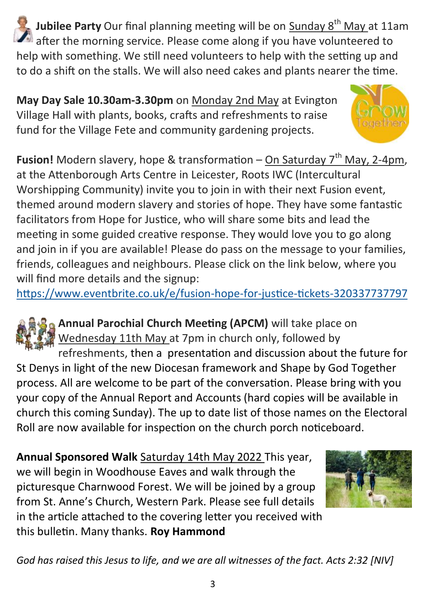**Jubilee Party** Our final planning meeting will be on Sunday 8<sup>th</sup> May at 11am after the morning service. Please come along if you have volunteered to help with something. We still need volunteers to help with the setting up and to do a shift on the stalls. We will also need cakes and plants nearer the time.

**May Day Sale 10.30am-3.30pm** on Monday 2nd May at Evington Village Hall with plants, books, crafts and refreshments to raise fund for the Village Fete and community gardening projects.



**Fusion!** Modern slavery, hope & transformation – On Saturday 7<sup>th</sup> May, 2-4pm, at the Attenborough Arts Centre in Leicester, Roots IWC (Intercultural Worshipping Community) invite you to join in with their next Fusion event, themed around modern slavery and stories of hope. They have some fantastic facilitators from Hope for Justice, who will share some bits and lead the meeting in some guided creative response. They would love you to go along and join in if you are available! Please do pass on the message to your families, friends, colleagues and neighbours. Please click on the link below, where you will find more details and the signup:

[https://www.eventbrite.co.uk/e/fusion](https://www.eventbrite.co.uk/e/fusion-hope-for-justice-tickets-320337737797)-hope-for-justice-tickets-320337737797

**Annual Parochial Church Meeting (APCM)** will take place on Wednesday 11th May at 7pm in church only, followed by refreshments, then a presentation and discussion about the future for St Denys in light of the new Diocesan framework and Shape by God Together process. All are welcome to be part of the conversation. Please bring with you

your copy of the Annual Report and Accounts (hard copies will be available in church this coming Sunday). The up to date list of those names on the Electoral Roll are now available for inspection on the church porch noticeboard.

**Annual Sponsored Walk** Saturday 14th May 2022 This year, we will begin in Woodhouse Eaves and walk through the picturesque Charnwood Forest. We will be joined by a group from St. Anne's Church, Western Park. Please see full details in the article attached to the covering letter you received with this bulletin. Many thanks. **Roy Hammond**



*God has raised this Jesus to life, and we are all witnesses of the fact. Acts 2:32 [NIV]*